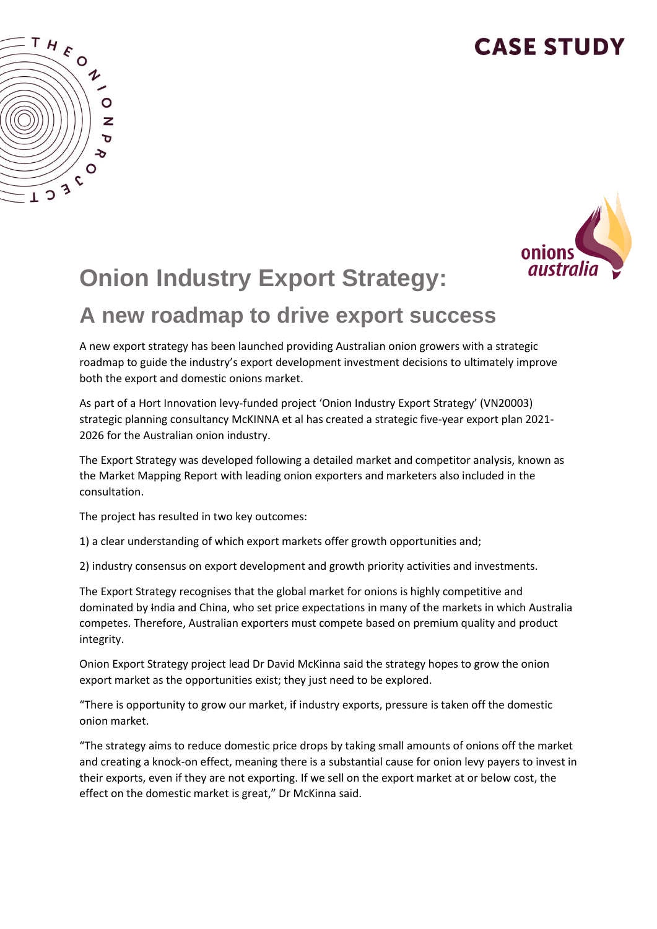## **CASE STUDY**





# **Onion Industry Export Strategy:**

#### **A new roadmap to drive export success**

A new export strategy has been launched providing Australian onion growers with a strategic roadmap to guide the industry's export development investment decisions to ultimately improve both the export and domestic onions market.

As part of a Hort Innovation levy-funded project 'Onion Industry Export Strategy' (VN20003) strategic planning consultancy McKINNA et al has created a strategic five-year export plan 2021- 2026 for the Australian onion industry.

The Export Strategy was developed following a detailed market and competitor analysis, known as the Market Mapping Report with leading onion exporters and marketers also included in the consultation.

The project has resulted in two key outcomes:

1) a clear understanding of which export markets offer growth opportunities and;

2) industry consensus on export development and growth priority activities and investments.

The Export Strategy recognises that the global market for onions is highly competitive and dominated by India and China, who set price expectations in many of the markets in which Australia competes. Therefore, Australian exporters must compete based on premium quality and product integrity.

Onion Export Strategy project lead Dr David McKinna said the strategy hopes to grow the onion export market as the opportunities exist; they just need to be explored.

"There is opportunity to grow our market, if industry exports, pressure is taken off the domestic onion market.

"The strategy aims to reduce domestic price drops by taking small amounts of onions off the market and creating a knock-on effect, meaning there is a substantial cause for onion levy payers to invest in their exports, even if they are not exporting. If we sell on the export market at or below cost, the effect on the domestic market is great," Dr McKinna said.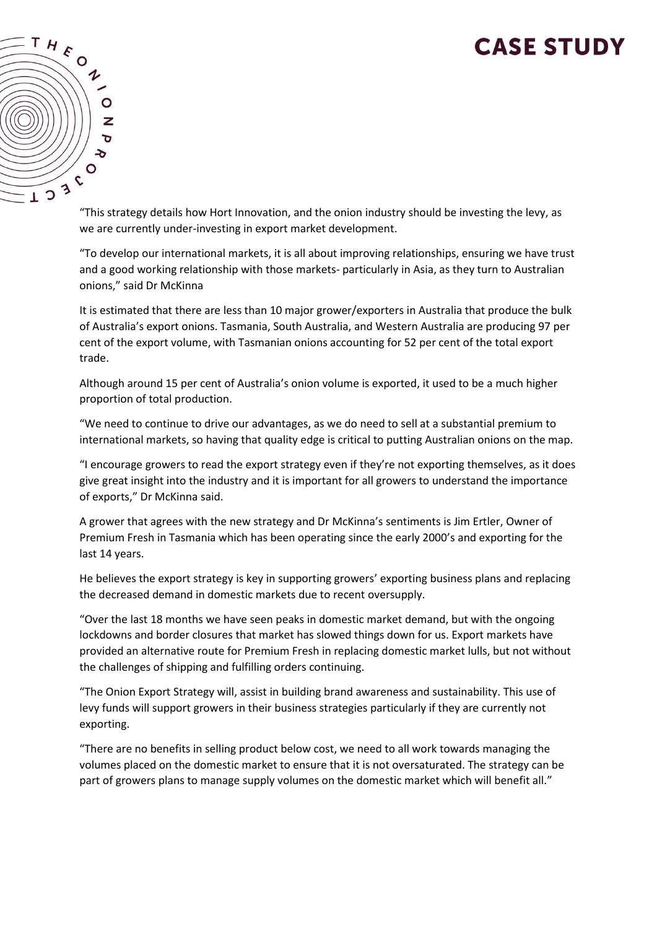### **CASE STUDY**



"This strategy details how Hort Innovation, and the onion industry should be investing the levy, as we are currently under-investing in export market development.

"To develop our international markets, it is all about improving relationships, ensuring we have trust and a good working relationship with those markets- particularly in Asia, as they turn to Australian onions," said Dr McKinna

It is estimated that there are less than 10 major grower/exporters in Australia that produce the bulk of Australia's export onions. Tasmania, South Australia, and Western Australia are producing 97 per cent of the export volume, with Tasmanian onions accounting for 52 per cent of the total export trade.

Although around 15 per cent of Australia's onion volume is exported, it used to be a much higher proportion of total production.

"We need to continue to drive our advantages, as we do need to sell at a substantial premium to international markets, so having that quality edge is critical to putting Australian onions on the map.

"I encourage growers to read the export strategy even if they're not exporting themselves, as it does give great insight into the industry and it is important for all growers to understand the importance of exports," Dr McKinna said.

A grower that agrees with the new strategy and Dr McKinna's sentiments is Jim Ertler, Owner of Premium Fresh in Tasmania which has been operating since the early 2000's and exporting for the last 14 years.

He believes the export strategy is key in supporting growers' exporting business plans and replacing the decreased demand in domestic markets due to recent oversupply.

"Over the last 18 months we have seen peaks in domestic market demand, but with the ongoing lockdowns and border closures that market has slowed things down for us. Export markets have provided an alternative route for Premium Fresh in replacing domestic market lulls, but not without the challenges of shipping and fulfilling orders continuing.

"The Onion Export Strategy will, assist in building brand awareness and sustainability. This use of levy funds will support growers in their business strategies particularly if they are currently not exporting.

"There are no benefits in selling product below cost, we need to all work towards managing the volumes placed on the domestic market to ensure that it is not oversaturated. The strategy can be part of growers plans to manage supply volumes on the domestic market which will benefit all."